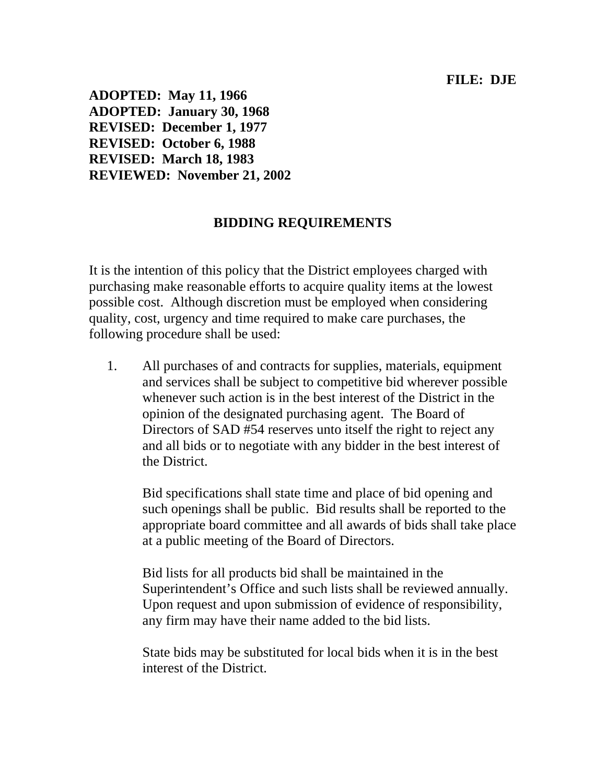## **FILE: DJE**

**ADOPTED: May 11, 1966 ADOPTED: January 30, 1968 REVISED: December 1, 1977 REVISED: October 6, 1988 REVISED: March 18, 1983 REVIEWED: November 21, 2002** 

## **BIDDING REQUIREMENTS**

It is the intention of this policy that the District employees charged with purchasing make reasonable efforts to acquire quality items at the lowest possible cost. Although discretion must be employed when considering quality, cost, urgency and time required to make care purchases, the following procedure shall be used:

1. All purchases of and contracts for supplies, materials, equipment and services shall be subject to competitive bid wherever possible whenever such action is in the best interest of the District in the opinion of the designated purchasing agent. The Board of Directors of SAD #54 reserves unto itself the right to reject any and all bids or to negotiate with any bidder in the best interest of the District.

Bid specifications shall state time and place of bid opening and such openings shall be public. Bid results shall be reported to the appropriate board committee and all awards of bids shall take place at a public meeting of the Board of Directors.

Bid lists for all products bid shall be maintained in the Superintendent's Office and such lists shall be reviewed annually. Upon request and upon submission of evidence of responsibility, any firm may have their name added to the bid lists.

State bids may be substituted for local bids when it is in the best interest of the District.